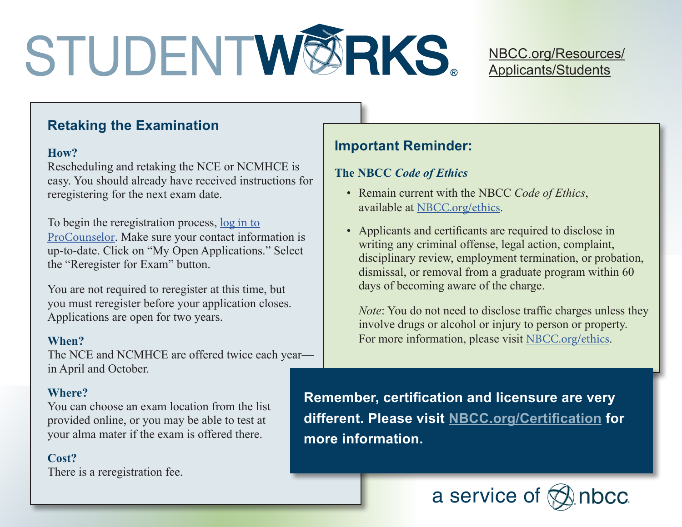# STUDENTWØRKS.

#### NBCC[.org/Resources/](http://www.nbcc.org/Resources/Applicants/Students) [Applicants/Students](http://www.nbcc.org/Resources/Applicants/Students)

#### **Retaking the Examination**

#### **How?**

Rescheduling and retaking the NCE or NCMHCE is easy. You should already have received instructions for reregistering for the next exam date.

To begin the reregistration process, [log in to](https://onlineservices.nbcc.org/eweb/DynamicPage.aspx?WebCode=LoginRequired&expires=yes&Site=NBCC) [ProCounselor](https://onlineservices.nbcc.org/eweb/DynamicPage.aspx?WebCode=LoginRequired&expires=yes&Site=NBCC). Make sure your contact information is up-to-date. Click on "My Open Applications." Select the "Reregister for Exam" button.

You are not required to reregister at this time, but you must reregister before your application closes. Applications are open for two years.

#### **When?**

The NCE and NCMHCE are offered twice each year in April and October.

#### **Where?**

You can choose an exam location from the list provided online, or you may be able to test at your alma mater if the exam is offered there.

#### **Cost?**

There is a reregistration fee.

### **Important Reminder:**

#### **The NBCC** *Code of Ethics*

- Remain current with the NBCC *Code of Ethics*, available at NBCC[.org/ethics](http://www.nbcc.org/ethics).
- Applicants and certificants are required to disclose in writing any criminal offense, legal action, complaint, disciplinary review, employment termination, or probation, dismissal, or removal from a graduate program within 60 days of becoming aware of the charge.

*Note*: You do not need to disclose traffic charges unless they involve drugs or alcohol or injury to person or property. For more information, please visit NBCC[.org/ethics](http://www.nbcc.org/ethics).

**Remember, certification and licensure are very different. Please visit NBCC[.org/Certification](http://www.nbcc.org/Certification) for more information.**